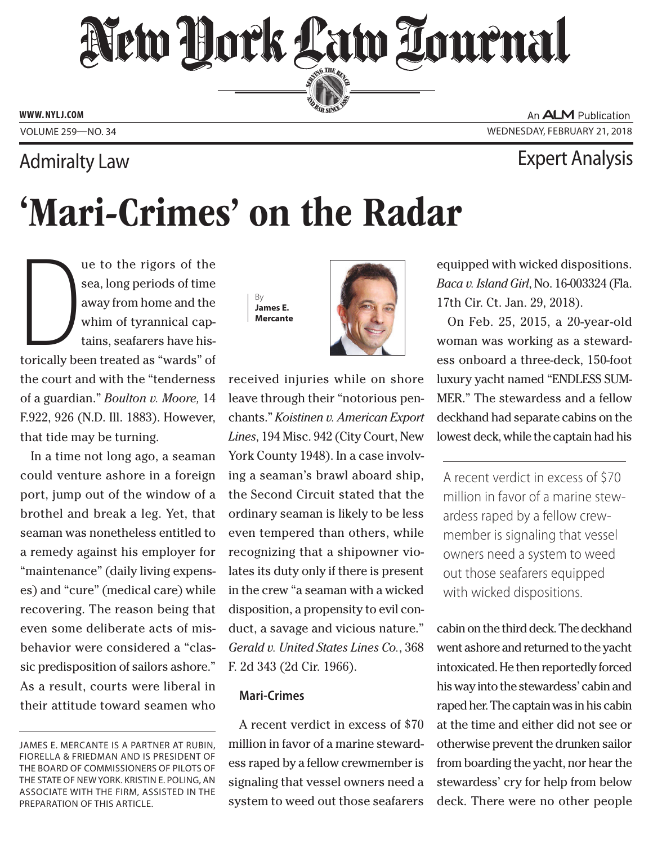## New Dock Law Lournal SERVING THE BEN

**ED BAR SINCE 188** 

**www. NYLJ.com**

Volume 259—NO. 34 Wednesday, February 21, 2018

### Admiralty Law Expert Analysis

# 'Mari-Crimes' on the Radar

The sea, long periods of the<br>sea, long periods of time<br>away from home and the<br>whim of tyrannical cap-<br>tains, seafarers have his-<br>torically been treated as "wards" of ue to the rigors of the sea, long periods of time away from home and the whim of tyrannical captains, seafarers have histhe court and with the "tenderness of a guardian." *Boulton v. Moore,* 14 F.922, 926 (N.D. Ill. 1883). However, that tide may be turning.

In a time not long ago, a seaman could venture ashore in a foreign port, jump out of the window of a brothel and break a leg. Yet, that seaman was nonetheless entitled to a remedy against his employer for "maintenance" (daily living expenses) and "cure" (medical care) while recovering. The reason being that even some deliberate acts of misbehavior were considered a "classic predisposition of sailors ashore." As a result, courts were liberal in their attitude toward seamen who

By **James E. Mercante**



received injuries while on shore leave through their "notorious penchants." *Koistinen v. American Export Lines*, 194 Misc. 942 (City Court, New York County 1948). In a case involving a seaman's brawl aboard ship, the Second Circuit stated that the ordinary seaman is likely to be less even tempered than others, while recognizing that a shipowner violates its duty only if there is present in the crew "a seaman with a wicked disposition, a propensity to evil conduct, a savage and vicious nature." *Gerald v. United States Lines Co.*, 368 F. 2d 343 (2d Cir. 1966).

#### **Mari-Crimes**

A recent verdict in excess of \$70 million in favor of a marine stewardess raped by a fellow crewmember is signaling that vessel owners need a system to weed out those seafarers

An **ALM** Publication

equipped with wicked dispositions. *Baca v. Island Girl*, No. 16-003324 (Fla. 17th Cir. Ct. Jan. 29, 2018).

On Feb. 25, 2015, a 20-year-old woman was working as a stewardess onboard a three-deck, 150-foot luxury yacht named "ENDLESS SUM-MER." The stewardess and a fellow deckhand had separate cabins on the lowest deck, while the captain had his

A recent verdict in excess of \$70 million in favor of a marine stewardess raped by a fellow crewmember is signaling that vessel owners need a system to weed out those seafarers equipped with wicked dispositions.

cabin on the third deck. The deckhand went ashore and returned to the yacht intoxicated. He then reportedly forced his way into the stewardess' cabin and raped her. The captain was in his cabin at the time and either did not see or otherwise prevent the drunken sailor from boarding the yacht, nor hear the stewardess' cry for help from below deck. There were no other people

James E. Mercante is a partner at Rubin, Fiorella & Friedman and is president of the Board of Commissioners of Pilots of the State of New York. Kristin E. Poling, an associate with the firm, assisted in the preparation of this article.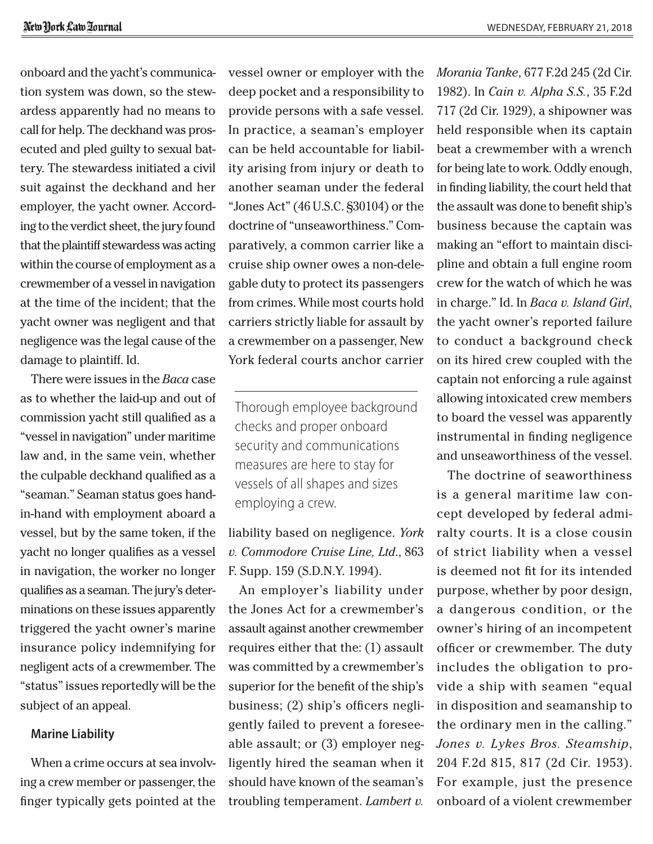onboard and the yacht's communication system was down, so the stewardess apparently had no means to call for help. The deckhand was prosecuted and pled guilty to sexual battery. The stewardess initiated a civil suit against the deckhand and her employer, the yacht owner. According to the verdict sheet, the jury found that the plaintiff stewardess was acting within the course of employment as a crewmember of a vessel in navigation at the time of the incident; that the yacht owner was negligent and that negligence was the legal cause of the damage to plaintiff. Id.

There were issues in the *Baca* case as to whether the laid-up and out of commission yacht still qualified as a "vessel in navigation" under maritime law and, in the same vein, whether the culpable deckhand qualified as a "seaman." Seaman status goes handin-hand with employment aboard a vessel, but by the same token, if the yacht no longer qualifies as a vessel in navigation, the worker no longer qualifies as a seaman. The jury's determinations on these issues apparently triggered the yacht owner's marine insurance policy indemnifying for negligent acts of a crewmember. The "status" issues reportedly will be the subject of an appeal.

#### **Marine Liability**

When a crime occurs at sea involving a crew member or passenger, the finger typically gets pointed at the vessel owner or employer with the deep pocket and a responsibility to provide persons with a safe vessel. In practice, a seaman's employer can be held accountable for liability arising from injury or death to another seaman under the federal "Jones Act" (46 U.S.C. §30104) or the doctrine of "unseaworthiness." Comparatively, a common carrier like a cruise ship owner owes a non-delegable duty to protect its passengers from crimes. While most courts hold carriers strictly liable for assault by a crewmember on a passenger, New York federal courts anchor carrier

Thorough employee background checks and proper onboard security and communications measures are here to stay for vessels of all shapes and sizes employing a crew.

liability based on negligence. *York v. Commodore Cruise Line, Ltd*., 863 F. Supp. 159 (S.D.N.Y. 1994).

An employer's liability under the Jones Act for a crewmember's assault against another crewmember requires either that the: (1) assault was committed by a crewmember's superior for the benefit of the ship's business; (2) ship's officers negligently failed to prevent a foreseeable assault; or (3) employer negligently hired the seaman when it should have known of the seaman's troubling temperament. *Lambert v.* 

*Morania Tanke*, 677 F.2d 245 (2d Cir. 1982). In *Cain v. Alpha S.S.*, 35 F.2d 717 (2d Cir. 1929), a shipowner was held responsible when its captain beat a crewmember with a wrench for being late to work. Oddly enough, in finding liability, the court held that the assault was done to benefit ship's business because the captain was making an "effort to maintain discipline and obtain a full engine room crew for the watch of which he was in charge." Id. In *Baca v. Island Girl*, the yacht owner's reported failure to conduct a background check on its hired crew coupled with the captain not enforcing a rule against allowing intoxicated crew members to board the vessel was apparently instrumental in finding negligence and unseaworthiness of the vessel.

The doctrine of seaworthiness is a general maritime law concept developed by federal admiralty courts. It is a close cousin of strict liability when a vessel is deemed not fit for its intended purpose, whether by poor design, a dangerous condition, or the owner's hiring of an incompetent officer or crewmember. The duty includes the obligation to provide a ship with seamen "equal in disposition and seamanship to the ordinary men in the calling." *Jones v. Lykes Bros. Steamship*, 204 F.2d 815, 817 (2d Cir. 1953). For example, just the presence onboard of a violent crewmember